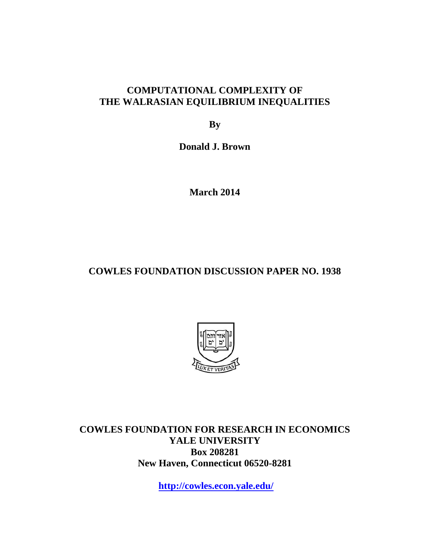# **COMPUTATIONAL COMPLEXITY OF THE WALRASIAN EQUILIBRIUM INEQUALITIES**

**By** 

**Donald J. Brown** 

**March 2014** 

**COWLES FOUNDATION DISCUSSION PAPER NO. 1938** 



**COWLES FOUNDATION FOR RESEARCH IN ECONOMICS YALE UNIVERSITY Box 208281 New Haven, Connecticut 06520-8281** 

**http://cowles.econ.yale.edu/**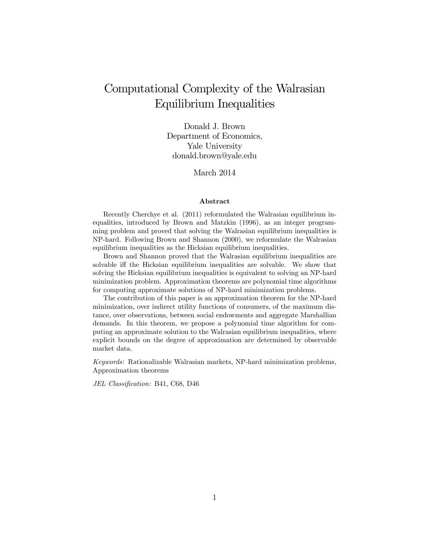# Computational Complexity of the Walrasian Equilibrium Inequalities

Donald J. Brown Department of Economics, Yale University donald.brown@yale.edu

March 2014

#### Abstract

Recently Cherchye et al. (2011) reformulated the Walrasian equilibrium inequalities, introduced by Brown and Matzkin (1996), as an integer programming problem and proved that solving the Walrasian equilibrium inequalities is NP-hard. Following Brown and Shannon (2000), we reformulate the Walrasian equilibrium inequalities as the Hicksian equilibrium inequalities.

Brown and Shannon proved that the Walrasian equilibrium inequalities are solvable iff the Hicksian equilibrium inequalities are solvable. We show that solving the Hicksian equilibrium inequalities is equivalent to solving an NP-hard minimization problem. Approximation theorems are polynomial time algorithms for computing approximate solutions of NP-hard minimization problems.

The contribution of this paper is an approximation theorem for the NP-hard minimization, over indirect utility functions of consumers, of the maximum distance, over observations, between social endowments and aggregate Marshallian demands. In this theorem, we propose a polynomial time algorithm for computing an approximate solution to the Walrasian equilibrium inequalities, where explicit bounds on the degree of approximation are determined by observable market data.

Keywords: Rationalizable Walrasian markets, NP-hard minimization problems, Approximation theorems

JEL Classification: B41, C68, D46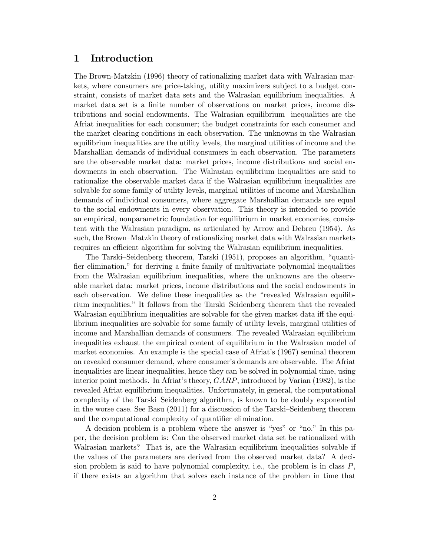## 1 Introduction

The Brown-Matzkin (1996) theory of rationalizing market data with Walrasian markets, where consumers are price-taking, utility maximizers subject to a budget constraint, consists of market data sets and the Walrasian equilibrium inequalities. A market data set is a finite number of observations on market prices, income distributions and social endowments. The Walrasian equilibrium inequalities are the Afriat inequalities for each consumer; the budget constraints for each consumer and the market clearing conditions in each observation. The unknowns in the Walrasian equilibrium inequalities are the utility levels, the marginal utilities of income and the Marshallian demands of individual consumers in each observation. The parameters are the observable market data: market prices, income distributions and social endowments in each observation. The Walrasian equilibrium inequalities are said to rationalize the observable market data if the Walrasian equilibrium inequalities are solvable for some family of utility levels, marginal utilities of income and Marshallian demands of individual consumers, where aggregate Marshallian demands are equal to the social endowments in every observation. This theory is intended to provide an empirical, nonparametric foundation for equilibrium in market economies, consistent with the Walrasian paradigm, as articulated by Arrow and Debreu (1954). As such, the Brown—Matzkin theory of rationalizing market data with Walrasian markets requires an efficient algorithm for solving the Walrasian equilibrium inequalities.

The Tarski—Seidenberg theorem, Tarski (1951), proposes an algorithm, "quantifier elimination," for deriving a finite family of multivariate polynomial inequalities from the Walrasian equilibrium inequalities, where the unknowns are the observable market data: market prices, income distributions and the social endowments in each observation. We define these inequalities as the "revealed Walrasian equilibrium inequalities." It follows from the Tarski—Seidenberg theorem that the revealed Walrasian equilibrium inequalities are solvable for the given market data iff the equilibrium inequalities are solvable for some family of utility levels, marginal utilities of income and Marshallian demands of consumers. The revealed Walrasian equilibrium inequalities exhaust the empirical content of equilibrium in the Walrasian model of market economies. An example is the special case of Afriat's (1967) seminal theorem on revealed consumer demand, where consumer's demands are observable. The Afriat inequalities are linear inequalities, hence they can be solved in polynomial time, using interior point methods. In Africat's theory,  $GARP$ , introduced by Varian (1982), is the revealed Afriat equilibrium inequalities. Unfortunately, in general, the computational complexity of the Tarski—Seidenberg algorithm, is known to be doubly exponential in the worse case. See Basu (2011) for a discussion of the Tarski—Seidenberg theorem and the computational complexity of quantifier elimination.

A decision problem is a problem where the answer is "yes" or "no." In this paper, the decision problem is: Can the observed market data set be rationalized with Walrasian markets? That is, are the Walrasian equilibrium inequalities solvable if the values of the parameters are derived from the observed market data? A decision problem is said to have polynomial complexity, i.e., the problem is in class  $P$ , if there exists an algorithm that solves each instance of the problem in time that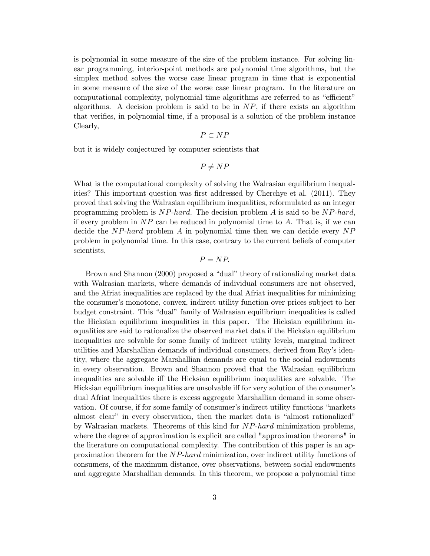is polynomial in some measure of the size of the problem instance. For solving linear programming, interior-point methods are polynomial time algorithms, but the simplex method solves the worse case linear program in time that is exponential in some measure of the size of the worse case linear program. In the literature on computational complexity, polynomial time algorithms are referred to as "efficient" algorithms. A decision problem is said to be in  $\overline{NP}$ , if there exists an algorithm that verifies, in polynomial time, if a proposal is a solution of the problem instance Clearly,

$$
P\subset NP
$$

but it is widely conjectured by computer scientists that

$$
P \neq NP
$$

What is the computational complexity of solving the Walrasian equilibrium inequalities? This important question was first addressed by Cherchye et al. (2011). They proved that solving the Walrasian equilibrium inequalities, reformulated as an integer programming problem is  $NP$ -hard. The decision problem A is said to be  $NP$ -hard, if every problem in  $\overline{NP}$  can be reduced in polynomial time to A. That is, if we can decide the  $NP$ -hard problem A in polynomial time then we can decide every  $NP$ problem in polynomial time. In this case, contrary to the current beliefs of computer scientists,

### $P=NP$

Brown and Shannon (2000) proposed a "dual" theory of rationalizing market data with Walrasian markets, where demands of individual consumers are not observed, and the Afriat inequalities are replaced by the dual Afriat inequalities for minimizing the consumer's monotone, convex, indirect utility function over prices subject to her budget constraint. This "dual" family of Walrasian equilibrium inequalities is called the Hicksian equilibrium inequalities in this paper. The Hicksian equilibrium inequalities are said to rationalize the observed market data if the Hicksian equilibrium inequalities are solvable for some family of indirect utility levels, marginal indirect utilities and Marshallian demands of individual consumers, derived from Roy's identity, where the aggregate Marshallian demands are equal to the social endowments in every observation. Brown and Shannon proved that the Walrasian equilibrium inequalities are solvable iff the Hicksian equilibrium inequalities are solvable. The Hicksian equilibrium inequalities are unsolvable iff for very solution of the consumer's dual Afriat inequalities there is excess aggregate Marshallian demand in some observation. Of course, if for some family of consumer's indirect utility functions "markets almost clear" in every observation, then the market data is "almost rationalized" by Walrasian markets. Theorems of this kind for  $NP$ -hard minimization problems, where the degree of approximation is explicit are called "approximation theorems" in the literature on computational complexity. The contribution of this paper is an approximation theorem for the  $NP$ -hard minimization, over indirect utility functions of consumers, of the maximum distance, over observations, between social endowments and aggregate Marshallian demands. In this theorem, we propose a polynomial time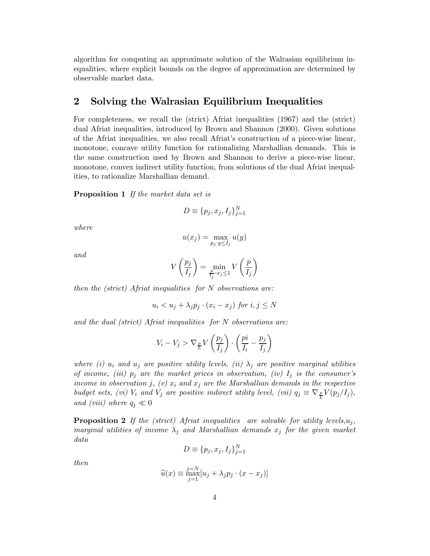algorithm for computing an approximate solution of the Walrasian equilibrium inequalities, where explicit bounds on the degree of approximation are determined by observable market data.

## 2 Solving the Walrasian Equilibrium Inequalities

For completeness, we recall the (strict) Afriat inequalities (1967) and the (strict) dual Afriat inequalities, introduced by Brown and Shannon (2000). Given solutions of the Afriat inequalities, we also recall Afriat's construction of a piece-wise linear, monotone, concave utility function for rationalizing Marshallian demands. This is the same construction used by Brown and Shannon to derive a piece-wise linear, monotone, convex indirect utility function, from solutions of the dual Afriat inequalities, to rationalize Marshallian demand.

#### Proposition 1 If the market data set is

$$
D \equiv \{p_j, x_j, I_j\}_{j=1}^N
$$

where

$$
u(x_j) = \max_{p_j \cdot y \le I_j} u(y)
$$

and

$$
V\left(\frac{p_j}{I_j}\right) = \min_{\frac{p}{I_j} \cdot x_j \le 1} V\left(\frac{p}{I_j}\right)
$$

then the (strict) Afriat inequalities for  $N$  observations are:

$$
u_i < u_j + \lambda_j p_j \cdot (x_i - x_j) \text{ for } i, j \le N
$$

and the dual (strict) Afriat inequalities for  $N$  observations are:

$$
V_i - V_j > \nabla_{\frac{p}{L}} V\left(\frac{p_j}{I_j}\right) \cdot \left(\frac{pi}{I_i} - \frac{p_j}{I_j}\right)
$$

where (i)  $u_i$  and  $u_j$  are positive utility levels, (ii)  $\lambda_j$  are positive marginal utilities of income, (iii)  $p_j$  are the market prices in observation, (iv)  $I_j$  is the consumer's income in observation j, (v)  $x_i$  and  $x_j$  are the Marshallian demands in the respective budget sets, (vi)  $V_i$  and  $V_j$  are positive indirect utility level, (vii)  $q_j \equiv \nabla_{\frac{p}{L}} V(p_j/I_j)$ , and (viii) where  $q_i \ll 0$ 

**Proposition 2** If the (strict) Afriat inequalities are solvable for utility levels,  $u_i$ , marginal utilities of income  $\lambda_j$  and Marshallian demands  $x_j$  for the given market data

$$
D \equiv \{p_j, x_j, I_j\}_{j=1}^N
$$

then

$$
\widehat{u}(x) \equiv \max_{j=1}^{j=N} [u_j + \lambda_j p_j \cdot (x - x_j)]
$$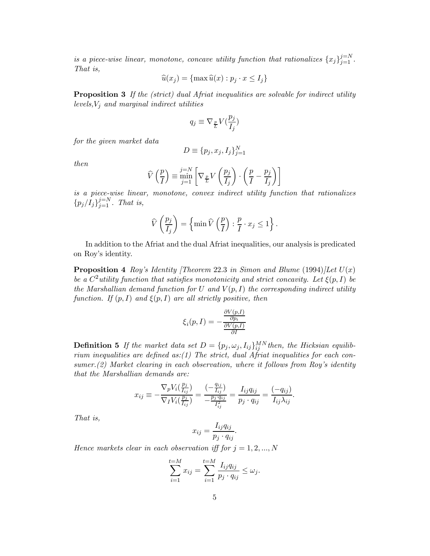is a piece-wise linear, monotone, concave utility function that rationalizes  ${x_j}_{j=1}^{j=N}$ . That is,

$$
\widehat{u}(x_j) = \{\max \widehat{u}(x) : p_j \cdot x \le I_j\}
$$

**Proposition 3** If the (strict) dual Afriat inequalities are solvable for indirect utility levels,  $V_i$  and marginal indirect utilities

$$
q_j \equiv \nabla_{\frac{p}{L}} V(\frac{p_j}{I_j})
$$

for the given market data

$$
D \equiv \{p_j, x_j, I_j\}_{j=1}^N
$$

then

$$
\widehat{V}\left(\frac{p}{I}\right) \equiv \min_{j=1}^{j=N} \left[\nabla_{\frac{p}{L}} V\left(\frac{p_j}{I_j}\right) \cdot \left(\frac{p}{I} - \frac{p_j}{I_j}\right)\right]
$$

is a piece-wise linear, monotone, convex indirect utility function that rationalizes  ${p_j}/{I_j}\}_{j=1}^{j=N}$ . That is,

$$
\widehat{V}\left(\frac{p_j}{I_j}\right) = \left\{\min \widehat{V}\left(\frac{p}{I}\right) : \frac{p}{I} \cdot x_j \le 1\right\}.
$$

In addition to the Afriat and the dual Afriat inequalities, our analysis is predicated on Roy's identity.

**Proposition 4** Roy's Identity (Theorem 22.3 in Simon and Blume (1994))Let  $U(x)$ be a  $C^2$ utility function that satisfies monotonicity and strict concavity. Let  $\xi(p, I)$  be the Marshallian demand function for U and  $V(p, I)$  the corresponding indirect utility function. If  $(p, I)$  and  $\xi(p, I)$  are all strictly positive, then

$$
\xi_i(p,I) = -\frac{\frac{\partial V(p,I)}{\partial p_i}}{\frac{\partial V(p,I)}{\partial I}}
$$

**Definition 5** If the market data set  $D = \{p_j, \omega_j, I_{ij}\}_{ij}^{MN}$  then, the Hicksian equilibrium inequalities are defined as: (1) The strict, dual Africat inequalities for each consumer. (2) Market clearing in each observation, where it follows from Roy's identity that the Marshallian demands are:

$$
x_{ij} \equiv -\frac{\nabla_p V_i(\frac{p_j}{I_{ij}})}{\nabla_I V_i(\frac{p_j}{I_{ij}})} = \frac{(-\frac{q_{ij}}{I_{ij}})}{-\frac{p_j \cdot q_{ij}}{I_{ij}^2}} = \frac{I_{ij} q_{ij}}{p_j \cdot q_{ij}} = \frac{(-q_{ij})}{I_{ij} \lambda_{ij}}.
$$

That is,

$$
x_{ij} = \frac{I_{ij}q_{ij}}{p_j \cdot q_{ij}}.
$$

Hence markets clear in each observation iff for  $j = 1, 2, ..., N$ 

$$
\sum_{i=1}^{t=M} x_{ij} = \sum_{i=1}^{t=M} \frac{I_{ij} q_{ij}}{p_j \cdot q_{ij}} \le \omega_j.
$$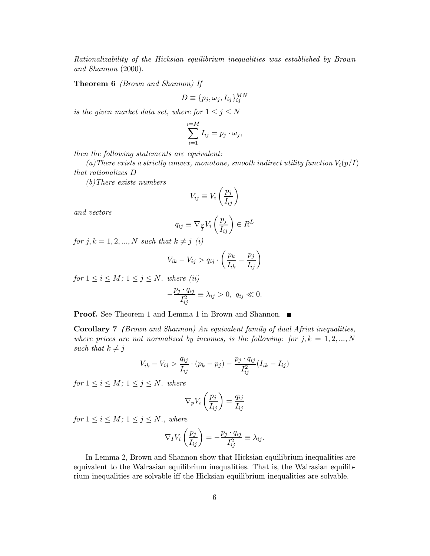Rationalizability of the Hicksian equilibrium inequalities was established by Brown and Shannon (2000).

Theorem 6 (Brown and Shannon) If

$$
D \equiv \{p_j, \omega_j, I_{ij}\}_{ij}^{MN}
$$

is the given market data set, where for  $1 \leq j \leq N$ 

$$
\sum_{i=1}^{i=M} I_{ij} = p_j \cdot \omega_j,
$$

then the following statements are equivalent:

(a) There exists a strictly convex, monotone, smooth indirect utility function  $V_i(p/I)$ that rationalizes  $D$ 

(b)There exists numbers

$$
V_{ij} \equiv V_i \left(\frac{p_j}{I_{ij}}\right)
$$

and vectors

$$
q_{ij} \equiv \nabla_{\frac{p}{I}} V_i \left( \frac{p_j}{I_{ij}} \right) \in R^L
$$

for  $j, k = 1, 2, ..., N$  such that  $k \neq j$  (i)

$$
V_{ik} - V_{ij} > q_{ij} \cdot \left(\frac{p_k}{I_{ik}} - \frac{p_j}{I_{ij}}\right)
$$

for  $1 \leq i \leq M$ ;  $1 \leq j \leq N$ . where (ii)

$$
-\frac{p_j \cdot q_{ij}}{I_{ij}^2} \equiv \lambda_{ij} > 0, \ q_{ij} \ll 0.
$$

**Proof.** See Theorem 1 and Lemma 1 in Brown and Shannon. ■

Corollary 7 (Brown and Shannon) An equivalent family of dual Afriat inequalities, where prices are not normalized by incomes, is the following: for  $j, k = 1, 2, ..., N$ such that  $k \neq j$ 

$$
V_{ik} - V_{ij} > \frac{q_{ij}}{I_{ij}} \cdot (p_k - p_j) - \frac{p_j \cdot q_{ij}}{I_{ij}^2} (I_{ik} - I_{ij})
$$

for  $1 \leq i \leq M$ ;  $1 \leq j \leq N$ . where

$$
\nabla_p V_i \left(\frac{p_j}{I_{ij}}\right) = \frac{q_{ij}}{I_{ij}}
$$

for  $1 \leq i \leq M$ ;  $1 \leq j \leq N$ ., where

$$
\nabla_I V_i \left( \frac{p_j}{I_{ij}} \right) = -\frac{p_j \cdot q_{ij}}{I_{ij}^2} \equiv \lambda_{ij}.
$$

In Lemma 2, Brown and Shannon show that Hicksian equilibrium inequalities are equivalent to the Walrasian equilibrium inequalities. That is, the Walrasian equilibrium inequalities are solvable iff the Hicksian equilibrium inequalities are solvable.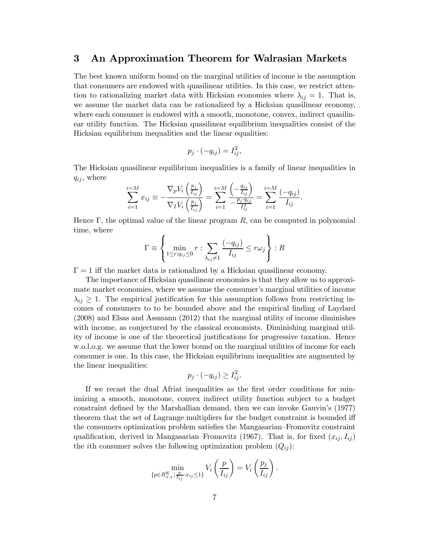## 3 An Approximation Theorem for Walrasian Markets

The best known uniform bound on the marginal utilities of income is the assumption that consumers are endowed with quasilinear utilities. In this case, we restrict attention to rationalizing market data with Hicksian economies where  $\lambda_{ij} = 1$ . That is, we assume the market data can be rationalized by a Hicksian quasilinear economy, where each consumer is endowed with a smooth, monotone, convex, indirect quasilinear utility function. The Hicksian quasilinear equilibrium inequalities consist of the Hicksian equilibrium inequalities and the linear equalities:

$$
p_j \cdot (-q_{ij}) = I_{ij}^2,
$$

The Hicksian quasilinear equilibrium inequalities is a family of linear inequalities in  $q_{ij}$ , where

$$
\sum_{i=1}^{i=M} x_{ij} \equiv -\frac{\nabla_p V_i \left(\frac{p_j}{I_{ij}}\right)}{\nabla_I V_i \left(\frac{p_j}{I_{ij}}\right)} = \sum_{i=1}^{i=M} \frac{\left(-\frac{q_{ij}}{I_{ij}}\right)}{-\frac{p_j \cdot q_{ij}}{I_{ij}^2}} = \sum_{i=1}^{i=M} \frac{(-q_{ij})}{I_{ij}}.
$$

Hence  $\Gamma$ , the optimal value of the linear program R, can be computed in polynomial time, where  $\overline{a}$ 

$$
\Gamma \equiv \left\{ \min_{1 \leq r; q_{ij} \leq 0} r : \sum_{\lambda_{ij} \neq 1} \frac{(-q_{ij})}{I_{ij}} \leq r \omega_j \right\} : R
$$

 $\Gamma = 1$  iff the market data is rationalized by a Hicksian quasilinear economy.

The importance of Hicksian quasilinear economies is that they allow us to approximate market economies, where we assume the consumer's marginal utilities of income  $\lambda_{ij} \geq 1$ . The empirical justification for this assumption follows from restricting incomes of consumers to to be bounded above and the empirical finding of Laydard (2008) and Elsas and Assmann (2012) that the marginal utility of income diminishes with income, as conjectured by the classical economists. Diminishing marginal utility of income is one of the theoretical justifications for progressive taxation. Hence w.o.l.o.g. we assume that the lower bound on the marginal utilities of income for each consumer is one. In this case, the Hicksian equilibrium inequalities are augmented by the linear inequalities:

$$
p_j \cdot (-q_{ij}) \geq I_{ij}^2.
$$

If we recast the dual Afriat inequalities as the first order conditions for minimizing a smooth, monotone, convex indirect utility function subject to a budget constraint defined by the Marshallian demand, then we can invoke Gauvin's (1977) theorem that the set of Lagrange multipliers for the budget constraint is bounded iff the consumers optimization problem satisfies the Mangasarian—Fromovitz constraint qualification, derived in Mangasarian–Fromovitz (1967). That is, for fixed  $(x_{ij}, I_{ij})$ the *i*th consumer solves the following optimization problem  $(Q_{ij})$ :

$$
\min_{\{p \in R_{++}^K | \frac{p}{I_{ij}} \cdot x_{ij} \le 1\}} V_i\left(\frac{p}{I_{ij}}\right) = V_i\left(\frac{p_j}{I_{ij}}\right).
$$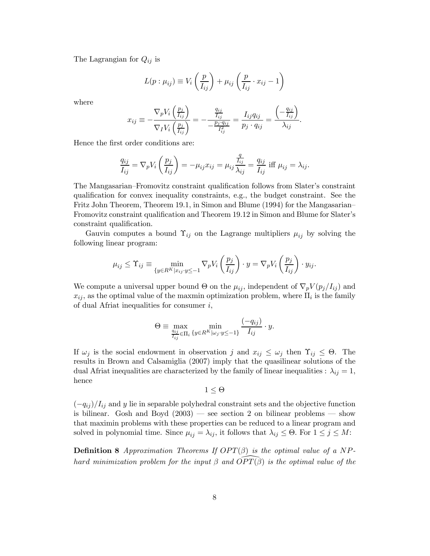The Lagrangian for  $Q_{ij}$  is

$$
L(p : \mu_{ij}) \equiv V_i \left(\frac{p}{I_{ij}}\right) + \mu_{ij} \left(\frac{p}{I_{ij}} \cdot x_{ij} - 1\right)
$$

where

$$
x_{ij} \equiv -\frac{\nabla_p V_i\left(\frac{p_j}{I_{ij}}\right)}{\nabla_I V_i\left(\frac{p_j}{I_{ij}}\right)} = -\frac{\frac{q_{ij}}{I_{ij}}}{-\frac{p_j \cdot q_{ij}}{I_{ij}^2}} = \frac{I_{ij} q_{ij}}{p_j \cdot q_{ij}} = \frac{\left(-\frac{q_{ij}}{I_{ij}}\right)}{\lambda_{ij}}.
$$

Hence the first order conditions are:

$$
\frac{q_{ij}}{I_{ij}} = \nabla_p V_i \left(\frac{p_j}{I_{ij}}\right) = -\mu_{ij} x_{ij} = \mu_{ij} \frac{\frac{q}{I_{ij}}}{\lambda_{ij}} = \frac{q_{ij}}{I_{ij}} \text{ iff } \mu_{ij} = \lambda_{ij}.
$$

The Mangasarian—Fromovitz constraint qualification follows from Slater's constraint qualification for convex inequality constraints, e.g., the budget constraint. See the Fritz John Theorem, Theorem 19.1, in Simon and Blume (1994) for the Mangasarian— Fromovitz constraint qualification and Theorem 19.12 in Simon and Blume for Slater's constraint qualification.

Gauvin computes a bound  $\Upsilon_{ij}$  on the Lagrange multipliers  $\mu_{ij}$  by solving the following linear program:

$$
\mu_{ij} \leq \Upsilon_{ij} \equiv \min_{\{y \in R^K | x_{ij} \cdot y \leq -1} \nabla_p V_i \left(\frac{p_j}{I_{ij}}\right) \cdot y = \nabla_p V_i \left(\frac{p_j}{I_{ij}}\right) \cdot y_{ij}.
$$

We compute a universal upper bound  $\Theta$  on the  $\mu_{ij}$ , independent of  $\nabla_p V(p_j / I_{ij})$  and  $x_{ij}$ , as the optimal value of the maxmin optimization problem, where  $\Pi_i$  is the family of dual Afriat inequalities for consumer  $i$ ,

$$
\Theta \equiv \max_{\frac{q_{ij}}{I_{ij}} \in \Pi_i} \min_{\{y \in R^K | \omega_j \cdot y \le -1\}} \frac{(-q_{ij})}{I_{ij}} \cdot y.
$$

If  $\omega_i$  is the social endowment in observation *j* and  $x_{ij} \leq \omega_j$  then  $\Upsilon_{ij} \leq \Theta$ . The results in Brown and Calsamiglia (2007) imply that the quasilinear solutions of the dual Afriat inequalities are characterized by the family of linear inequalities :  $\lambda_{ij} = 1$ , hence

 $1 \leq \Theta$ 

 $(-q_{ij})/I_{ij}$  and y lie in separable polyhedral constraint sets and the objective function is bilinear. Gosh and Boyd  $(2003)$  — see section 2 on bilinear problems — show that maximin problems with these properties can be reduced to a linear program and solved in polynomial time. Since  $\mu_{ij} = \lambda_{ij}$ , it follows that  $\lambda_{ij} \leq \Theta$ . For  $1 \leq j \leq M$ :

**Definition 8** Approximation Theorems If  $OPT(\beta)$  is the optimal value of a NPhard minimization problem for the input  $\beta$  and  $\widehat{OPT}(\widehat{\beta})$  is the optimal value of the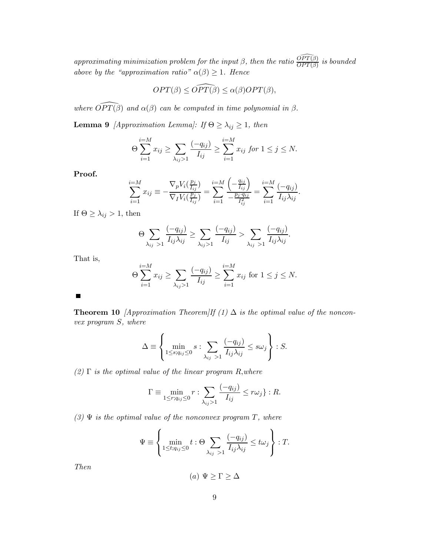approximating minimization problem for the input  $\beta$ , then the ratio  $\frac{\overline{OPT(\beta)}}{\overline{OPT(\beta)}}$  is bounded above by the "approximation ratio"  $\alpha(\beta) \geq 1$ . Hence

$$
OPT(\beta) \leq \widehat{OPT(\beta)} \leq \alpha(\beta) OPT(\beta),
$$

where  $\widehat{OPT(\beta)}$  and  $\alpha(\beta)$  can be computed in time polynomial in  $\beta$ .

**Lemma 9** [Approximation Lemma]: If  $\Theta \geq \lambda_{ij} \geq 1$ , then

$$
\Theta \sum_{i=1}^{i=M} x_{ij} \ge \sum_{\lambda_{ij} > 1} \frac{(-q_{ij})}{I_{ij}} \ge \sum_{i=1}^{i=M} x_{ij} \text{ for } 1 \le j \le N.
$$

Proof.

$$
\sum_{i=1}^{i=M} x_{ij} \equiv -\frac{\nabla_p V_i(\frac{p_j}{I_{ij}})}{\nabla_I V_i(\frac{p_j}{I_{ij}})} = \sum_{i=1}^{i=M} \frac{\left(-\frac{q_{ij}}{I_{ij}}\right)}{-\frac{p_j \cdot q_{ij}}{I_{ij}^2}} = \sum_{i=1}^{i=M} \frac{(-q_{ij})}{I_{ij} \lambda_{ij}}.
$$

If  $\Theta \geq \lambda_{ij} > 1$ , then

$$
\Theta \sum_{\lambda_{ij}} \frac{(-q_{ij})}{I_{ij} \lambda_{ij}} \ge \sum_{\lambda_{ij} > 1} \frac{(-q_{ij})}{I_{ij}} > \sum_{\lambda_{ij} > 1} \frac{(-q_{ij})}{I_{ij} \lambda_{ij}}.
$$

That is,

 $\blacksquare$ 

$$
\Theta \sum_{i=1}^{i=M} x_{ij} \ge \sum_{\lambda_{ij} > 1} \frac{(-q_{ij})}{I_{ij}} \ge \sum_{i=1}^{i=M} x_{ij} \text{ for } 1 \le j \le N.
$$

**Theorem 10** [Approximation Theorem]If (1)  $\Delta$  is the optimal value of the nonconvex program  $S$ , where

$$
\Delta \equiv \left\{ \min_{1 \leq s; q_{ij} \leq 0} s : \sum_{\lambda_{ij}} \frac{(-q_{ij})}{I_{ij} \lambda_{ij}} \leq s \omega_j \right\} : S.
$$

(2)  $\Gamma$  is the optimal value of the linear program R, where

$$
\Gamma \equiv \min_{1 \leq r; q_{ij} \leq 0} r : \sum_{\lambda_{ij} > 1} \frac{(-q_{ij})}{I_{ij}} \leq r \omega_j \} : R.
$$

 $(3)$   $\Psi$  is the optimal value of the nonconvex program T, where

$$
\Psi \equiv \left\{ \min_{1 \leq t; q_{ij} \leq 0} t : \Theta \sum_{\lambda_{ij}} \frac{(-q_{ij})}{I_{ij} \lambda_{ij}} \leq t \omega_j \right\} : T.
$$

Then

$$
(a) \ \Psi \geq \Gamma \geq \Delta
$$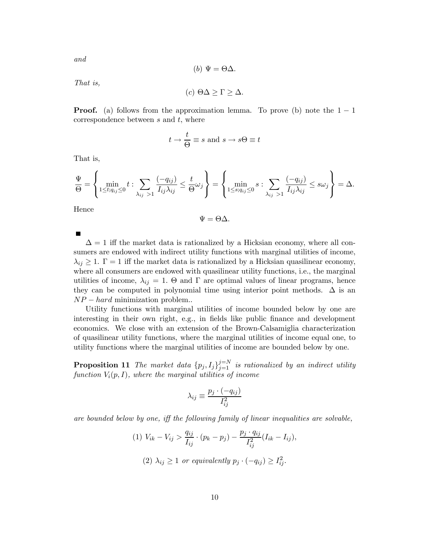and

(b) 
$$
\Psi = \Theta \Delta
$$
.

That is,

$$
(c) \Theta \Delta \geq \Gamma \geq \Delta.
$$

**Proof.** (a) follows from the approximation lemma. To prove (b) note the  $1 - 1$ correspondence between  $s$  and  $t$ , where

$$
t \to \frac{t}{\Theta} \equiv s
$$
 and  $s \to s\Theta \equiv t$ 

That is,

$$
\frac{\Psi}{\Theta} = \left\{\min_{1 \leq t; q_{ij} \leq 0} t : \sum_{\lambda_{ij}} \frac{(-q_{ij})}{I_{ij} \lambda_{ij}} \leq \frac{t}{\Theta} \omega_j \right\} = \left\{\min_{1 \leq s; q_{ij} \leq 0} s : \sum_{\lambda_{ij}} \frac{(-q_{ij})}{I_{ij} \lambda_{ij}} \leq s \omega_j \right\} = \Delta.
$$

Hence

Е

$$
\Psi = \Theta \Delta.
$$

 $\Delta = 1$  iff the market data is rationalized by a Hicksian economy, where all consumers are endowed with indirect utility functions with marginal utilities of income,  $\lambda_{ij} \geq 1$ .  $\Gamma = 1$  iff the market data is rationalized by a Hicksian quasilinear economy, where all consumers are endowed with quasilinear utility functions, i.e., the marginal utilities of income,  $\lambda_{ij} = 1$ .  $\Theta$  and  $\Gamma$  are optimal values of linear programs, hence they can be computed in polynomial time using interior point methods.  $\Delta$  is an  $NP - hard$  minimization problem...

Utility functions with marginal utilities of income bounded below by one are interesting in their own right, e.g., in fields like public finance and development economics. We close with an extension of the Brown-Calsamiglia characterization of quasilinear utility functions, where the marginal utilities of income equal one, to utility functions where the marginal utilities of income are bounded below by one.

**Proposition 11** The market data  $\{p_j, I_j\}_{j=1}^{j=N}$  is rationalized by an indirect utility function  $V_i(p, I)$ , where the marginal utilities of income

$$
\lambda_{ij} \equiv \frac{p_j \cdot (-q_{ij})}{I_{ij}^2}
$$

are bounded below by one, iff the following family of linear inequalities are solvable,

(1) 
$$
V_{ik} - V_{ij} > \frac{q_{ij}}{I_{ij}} \cdot (p_k - p_j) - \frac{p_j \cdot q_{ij}}{I_{ij}^2} (I_{ik} - I_{ij}),
$$
  
(2)  $\lambda_{ij} \ge 1$  or equivalently  $p_j \cdot (-q_{ij}) \ge I_{ij}^2$ .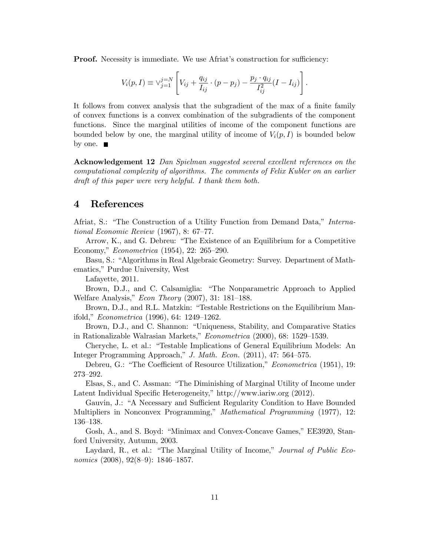**Proof.** Necessity is immediate. We use Africat's construction for sufficiency:

$$
V_i(p, I) \equiv \vee_{j=1}^{j=N} \left[ V_{ij} + \frac{q_{ij}}{I_{ij}} \cdot (p - p_j) - \frac{p_j \cdot q_{ij}}{I_{ij}^2} (I - I_{ij}) \right].
$$

It follows from convex analysis that the subgradient of the max of a finite family of convex functions is a convex combination of the subgradients of the component functions. Since the marginal utilities of income of the component functions are bounded below by one, the marginal utility of income of  $V_i(p, I)$  is bounded below by one.  $\blacksquare$ 

Acknowledgement 12 Dan Spielman suggested several excellent references on the computational complexity of algorithms. The comments of Felix Kubler on an earlier draft of this paper were very helpful. I thank them both.

## 4 References

Afriat, S.: "The Construction of a Utility Function from Demand Data," International Economic Review (1967), 8: 67—77.

Arrow, K., and G. Debreu: "The Existence of an Equilibrium for a Competitive Economy," Econometrica (1954), 22: 265—290.

Basu, S.: "Algorithms in Real Algebraic Geometry: Survey. Department of Mathematics," Purdue University, West

Lafayette, 2011.

Brown, D.J., and C. Calsamiglia: "The Nonparametric Approach to Applied Welfare Analysis," Econ Theory (2007), 31: 181—188.

Brown, D.J., and R.L. Matzkin: "Testable Restrictions on the Equilibrium Manifold," Econometrica (1996), 64: 1249—1262.

Brown, D.J., and C. Shannon: "Uniqueness, Stability, and Comparative Statics in Rationalizable Walrasian Markets," Econometrica (2000), 68: 1529—1539.

Cheryche, L. et al.: "Testable Implications of General Equilibrium Models: An Integer Programming Approach," J. Math. Econ. (2011), 47: 564—575.

Debreu, G.: "The Coefficient of Resource Utilization," Econometrica (1951), 19: 273—292.

Elsas, S., and C. Assman: "The Diminishing of Marginal Utility of Income under Latent Individual Specific Heterogeneity," http://www.iariw.org (2012).

Gauvin, J.: "A Necessary and Sufficient Regularity Condition to Have Bounded Multipliers in Nonconvex Programming," Mathematical Programming (1977), 12: 136—138.

Gosh, A., and S. Boyd: "Minimax and Convex-Concave Games," EE3920, Stanford University, Autumn, 2003.

Laydard, R., et al.: "The Marginal Utility of Income," Journal of Public Economics (2008), 92(8—9): 1846—1857.